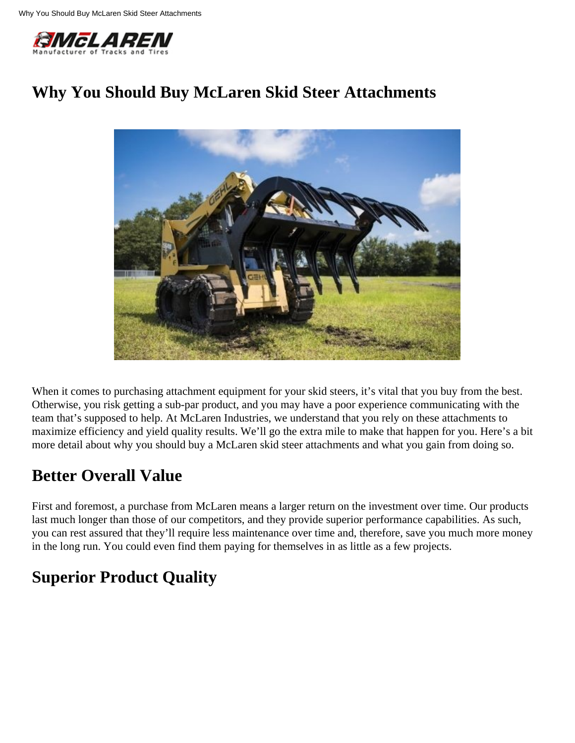

## **Why You Should Buy McLaren Skid Steer Attachments**



When it comes to purchasing attachment equipment for your skid steers, it's vital that you buy from the best. Otherwise, you risk getting a sub-par product, and you may have a poor experience communicating with the team that's supposed to help. At McLaren Industries, we understand that you rely on these attachments to maximize efficiency and yield quality results. We'll go the extra mile to make that happen for you. Here's a bit more detail about why you should buy a McLaren skid steer attachments and what you gain from doing so.

#### **Better Overall Value**

First and foremost, a purchase from McLaren means a larger return on the investment over time. Our products last much longer than those of our competitors, and they provide superior performance capabilities. As such, you can rest assured that they'll require less maintenance over time and, therefore, save you much more money in the long run. You could even find them paying for themselves in as little as a few projects.

# **Superior Product Quality**